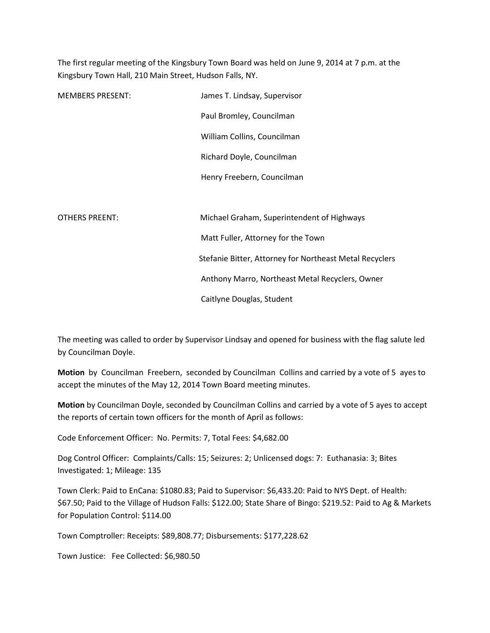The first regular meeting of the Kingsbury Town Board was held on June 9, 2014 at 7 p.m. at the Kingsbury Town Hall, 210 Main Street, Hudson Falls, NY.

| <b>MEMBERS PRESENT:</b> | James T. Lindsay, Supervisor                            |  |  |
|-------------------------|---------------------------------------------------------|--|--|
|                         | Paul Bromley, Councilman                                |  |  |
|                         | William Collins, Councilman                             |  |  |
|                         | Richard Doyle, Councilman                               |  |  |
|                         | Henry Freebern, Councilman                              |  |  |
|                         |                                                         |  |  |
| <b>OTHERS PREENT:</b>   | Michael Graham, Superintendent of Highways              |  |  |
|                         | Matt Fuller, Attorney for the Town                      |  |  |
|                         | Stefanie Bitter, Attorney for Northeast Metal Recyclers |  |  |
|                         | Anthony Marro, Northeast Metal Recyclers, Owner         |  |  |
|                         | Caitlyne Douglas, Student                               |  |  |

The meeting was called to order by Supervisor Lindsay and opened for business with the flag salute led by Councilman Doyle.

Motion by Councilman Freebern, seconded by Councilman Collins and carried by a vote of 5 ayes to accept the minutes of the May 12, 2014 Town Board meeting minutes.

Motion by Councilman Doyle, seconded by Councilman Collins and carried by a vote of 5 ayes to accept the reports of certain town officers for the month of April as follows:

Code Enforcement Officer: No. Permits: 7, Total Fees: \$4,682.00

Dog Control Officer: Complaints/Calls: 15; Seizures: 2; Unlicensed dogs: 7: Euthanasia: 3; Bites Investigated: 1; Mileage: 135

Town Clerk: Paid to EnCana: \$1080.83; Paid to Supervisor: \$6,433.20: Paid to NYS Dept. of Health: \$67.50; Paid to the Village of Hudson Falls: \$122.00; State Share of Bingo: \$219.52: Paid to Ag & Markets for Population Control: \$114.00

Town Comptroller: Receipts: \$89,808.77; Disbursements: \$177,228.62

Town Justice: Fee Collected: \$6,980.50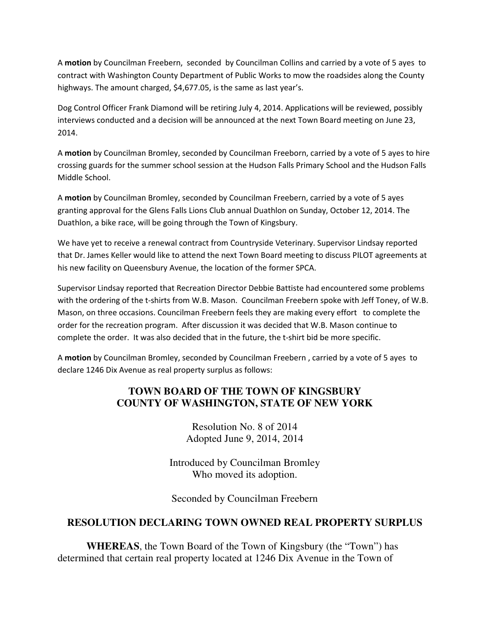A motion by Councilman Freebern, seconded by Councilman Collins and carried by a vote of 5 ayes to contract with Washington County Department of Public Works to mow the roadsides along the County highways. The amount charged, \$4,677.05, is the same as last year's.

Dog Control Officer Frank Diamond will be retiring July 4, 2014. Applications will be reviewed, possibly interviews conducted and a decision will be announced at the next Town Board meeting on June 23, 2014.

A motion by Councilman Bromley, seconded by Councilman Freeborn, carried by a vote of 5 ayes to hire crossing guards for the summer school session at the Hudson Falls Primary School and the Hudson Falls Middle School.

A motion by Councilman Bromley, seconded by Councilman Freebern, carried by a vote of 5 ayes granting approval for the Glens Falls Lions Club annual Duathlon on Sunday, October 12, 2014. The Duathlon, a bike race, will be going through the Town of Kingsbury.

We have yet to receive a renewal contract from Countryside Veterinary. Supervisor Lindsay reported that Dr. James Keller would like to attend the next Town Board meeting to discuss PILOT agreements at his new facility on Queensbury Avenue, the location of the former SPCA.

Supervisor Lindsay reported that Recreation Director Debbie Battiste had encountered some problems with the ordering of the t-shirts from W.B. Mason. Councilman Freebern spoke with Jeff Toney, of W.B. Mason, on three occasions. Councilman Freebern feels they are making every effort to complete the order for the recreation program. After discussion it was decided that W.B. Mason continue to complete the order. It was also decided that in the future, the t-shirt bid be more specific.

A motion by Councilman Bromley, seconded by Councilman Freebern , carried by a vote of 5 ayes to declare 1246 Dix Avenue as real property surplus as follows:

## **TOWN BOARD OF THE TOWN OF KINGSBURY COUNTY OF WASHINGTON, STATE OF NEW YORK**

Resolution No. 8 of 2014 Adopted June 9, 2014, 2014

Introduced by Councilman Bromley Who moved its adoption.

Seconded by Councilman Freebern

## **RESOLUTION DECLARING TOWN OWNED REAL PROPERTY SURPLUS**

**WHEREAS**, the Town Board of the Town of Kingsbury (the "Town") has determined that certain real property located at 1246 Dix Avenue in the Town of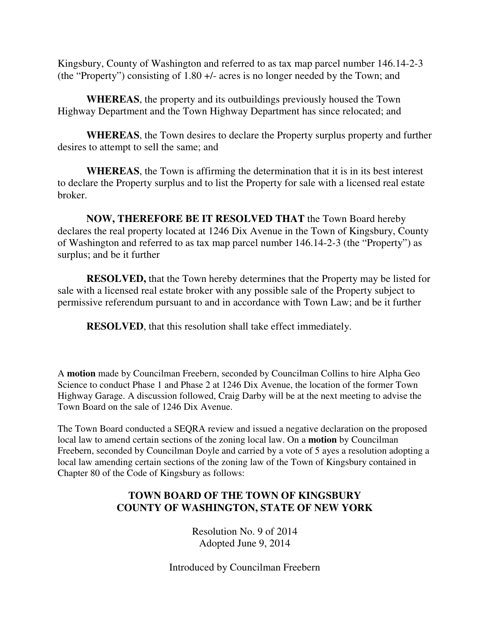Kingsbury, County of Washington and referred to as tax map parcel number 146.14-2-3 (the "Property") consisting of 1.80 +/- acres is no longer needed by the Town; and

**WHEREAS**, the property and its outbuildings previously housed the Town Highway Department and the Town Highway Department has since relocated; and

**WHEREAS**, the Town desires to declare the Property surplus property and further desires to attempt to sell the same; and

**WHEREAS**, the Town is affirming the determination that it is in its best interest to declare the Property surplus and to list the Property for sale with a licensed real estate broker.

**NOW, THEREFORE BE IT RESOLVED THAT** the Town Board hereby declares the real property located at 1246 Dix Avenue in the Town of Kingsbury, County of Washington and referred to as tax map parcel number 146.14-2-3 (the "Property") as surplus; and be it further

**RESOLVED,** that the Town hereby determines that the Property may be listed for sale with a licensed real estate broker with any possible sale of the Property subject to permissive referendum pursuant to and in accordance with Town Law; and be it further

**RESOLVED**, that this resolution shall take effect immediately.

A **motion** made by Councilman Freebern, seconded by Councilman Collins to hire Alpha Geo Science to conduct Phase 1 and Phase 2 at 1246 Dix Avenue, the location of the former Town Highway Garage. A discussion followed, Craig Darby will be at the next meeting to advise the Town Board on the sale of 1246 Dix Avenue.

The Town Board conducted a SEQRA review and issued a negative declaration on the proposed local law to amend certain sections of the zoning local law. On a **motion** by Councilman Freebern, seconded by Councilman Doyle and carried by a vote of 5 ayes a resolution adopting a local law amending certain sections of the zoning law of the Town of Kingsbury contained in Chapter 80 of the Code of Kingsbury as follows:

# **TOWN BOARD OF THE TOWN OF KINGSBURY COUNTY OF WASHINGTON, STATE OF NEW YORK**

Resolution No. 9 of 2014 Adopted June 9, 2014

Introduced by Councilman Freebern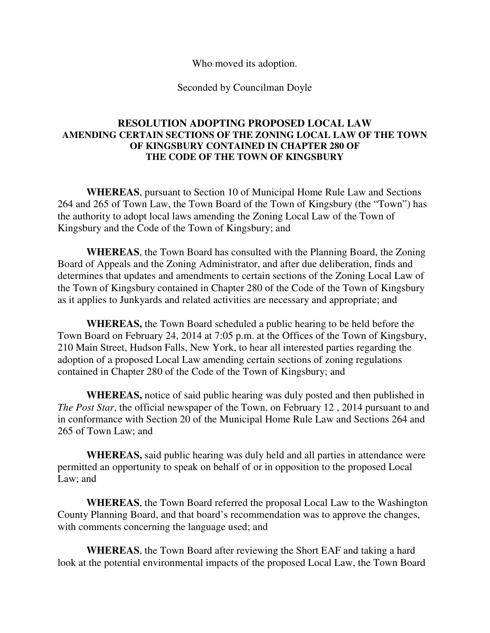Who moved its adoption.

Seconded by Councilman Doyle

### **RESOLUTION ADOPTING PROPOSED LOCAL LAW AMENDING CERTAIN SECTIONS OF THE ZONING LOCAL LAW OF THE TOWN OF KINGSBURY CONTAINED IN CHAPTER 280 OF THE CODE OF THE TOWN OF KINGSBURY**

**WHEREAS**, pursuant to Section 10 of Municipal Home Rule Law and Sections 264 and 265 of Town Law, the Town Board of the Town of Kingsbury (the "Town") has the authority to adopt local laws amending the Zoning Local Law of the Town of Kingsbury and the Code of the Town of Kingsbury; and

**WHEREAS**, the Town Board has consulted with the Planning Board, the Zoning Board of Appeals and the Zoning Administrator, and after due deliberation, finds and determines that updates and amendments to certain sections of the Zoning Local Law of the Town of Kingsbury contained in Chapter 280 of the Code of the Town of Kingsbury as it applies to Junkyards and related activities are necessary and appropriate; and

**WHEREAS,** the Town Board scheduled a public hearing to be held before the Town Board on February 24, 2014 at 7:05 p.m. at the Offices of the Town of Kingsbury, 210 Main Street, Hudson Falls, New York, to hear all interested parties regarding the adoption of a proposed Local Law amending certain sections of zoning regulations contained in Chapter 280 of the Code of the Town of Kingsbury; and

**WHEREAS,** notice of said public hearing was duly posted and then published in *The Post Star*, the official newspaper of the Town, on February 12 , 2014 pursuant to and in conformance with Section 20 of the Municipal Home Rule Law and Sections 264 and 265 of Town Law; and

**WHEREAS,** said public hearing was duly held and all parties in attendance were permitted an opportunity to speak on behalf of or in opposition to the proposed Local Law; and

 **WHEREAS**, the Town Board referred the proposal Local Law to the Washington County Planning Board, and that board's recommendation was to approve the changes, with comments concerning the language used; and

**WHEREAS**, the Town Board after reviewing the Short EAF and taking a hard look at the potential environmental impacts of the proposed Local Law, the Town Board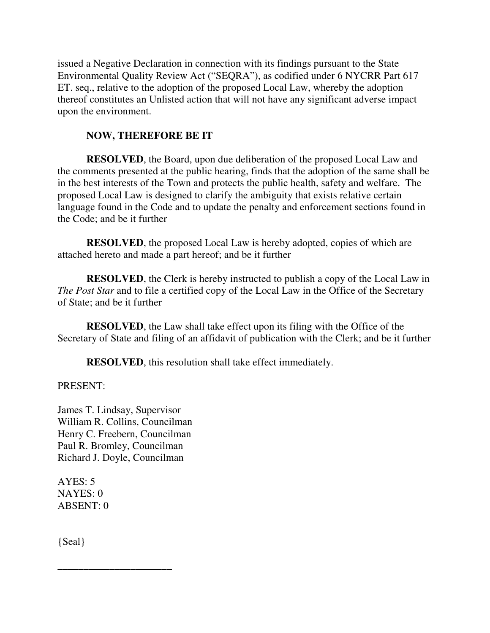issued a Negative Declaration in connection with its findings pursuant to the State Environmental Quality Review Act ("SEQRA"), as codified under 6 NYCRR Part 617 ET. seq., relative to the adoption of the proposed Local Law, whereby the adoption thereof constitutes an Unlisted action that will not have any significant adverse impact upon the environment.

# **NOW, THEREFORE BE IT**

**RESOLVED**, the Board, upon due deliberation of the proposed Local Law and the comments presented at the public hearing, finds that the adoption of the same shall be in the best interests of the Town and protects the public health, safety and welfare. The proposed Local Law is designed to clarify the ambiguity that exists relative certain language found in the Code and to update the penalty and enforcement sections found in the Code; and be it further

**RESOLVED**, the proposed Local Law is hereby adopted, copies of which are attached hereto and made a part hereof; and be it further

**RESOLVED**, the Clerk is hereby instructed to publish a copy of the Local Law in *The Post Star* and to file a certified copy of the Local Law in the Office of the Secretary of State; and be it further

**RESOLVED**, the Law shall take effect upon its filing with the Office of the Secretary of State and filing of an affidavit of publication with the Clerk; and be it further

**RESOLVED**, this resolution shall take effect immediately.

## PRESENT:

James T. Lindsay, Supervisor William R. Collins, Councilman Henry C. Freebern, Councilman Paul R. Bromley, Councilman Richard J. Doyle, Councilman

\_\_\_\_\_\_\_\_\_\_\_\_\_\_\_\_\_\_\_\_\_\_

 $AYES: 5$ NAYES: 0 ABSENT: 0

{Seal}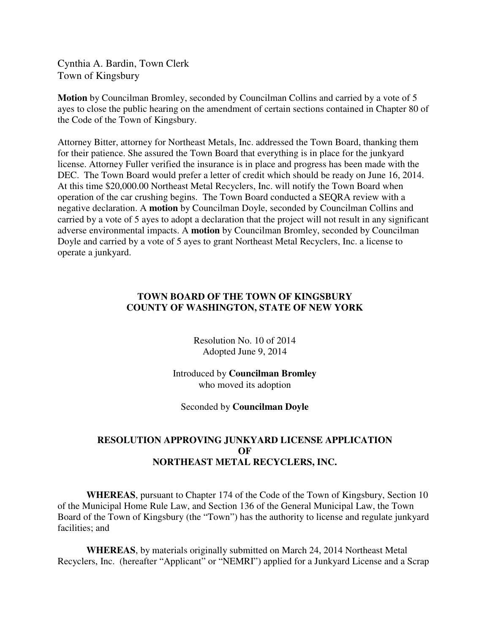Cynthia A. Bardin, Town Clerk Town of Kingsbury

**Motion** by Councilman Bromley, seconded by Councilman Collins and carried by a vote of 5 ayes to close the public hearing on the amendment of certain sections contained in Chapter 80 of the Code of the Town of Kingsbury.

Attorney Bitter, attorney for Northeast Metals, Inc. addressed the Town Board, thanking them for their patience. She assured the Town Board that everything is in place for the junkyard license. Attorney Fuller verified the insurance is in place and progress has been made with the DEC. The Town Board would prefer a letter of credit which should be ready on June 16, 2014. At this time \$20,000.00 Northeast Metal Recyclers, Inc. will notify the Town Board when operation of the car crushing begins. The Town Board conducted a SEQRA review with a negative declaration. A **motion** by Councilman Doyle, seconded by Councilman Collins and carried by a vote of 5 ayes to adopt a declaration that the project will not result in any significant adverse environmental impacts. A **motion** by Councilman Bromley, seconded by Councilman Doyle and carried by a vote of 5 ayes to grant Northeast Metal Recyclers, Inc. a license to operate a junkyard.

#### **TOWN BOARD OF THE TOWN OF KINGSBURY COUNTY OF WASHINGTON, STATE OF NEW YORK**

Resolution No. 10 of 2014 Adopted June 9, 2014

Introduced by **Councilman Bromley** who moved its adoption

Seconded by **Councilman Doyle**

### **RESOLUTION APPROVING JUNKYARD LICENSE APPLICATION OF NORTHEAST METAL RECYCLERS, INC.**

 **WHEREAS**, pursuant to Chapter 174 of the Code of the Town of Kingsbury, Section 10 of the Municipal Home Rule Law, and Section 136 of the General Municipal Law, the Town Board of the Town of Kingsbury (the "Town") has the authority to license and regulate junkyard facilities; and

 **WHEREAS**, by materials originally submitted on March 24, 2014 Northeast Metal Recyclers, Inc. (hereafter "Applicant" or "NEMRI") applied for a Junkyard License and a Scrap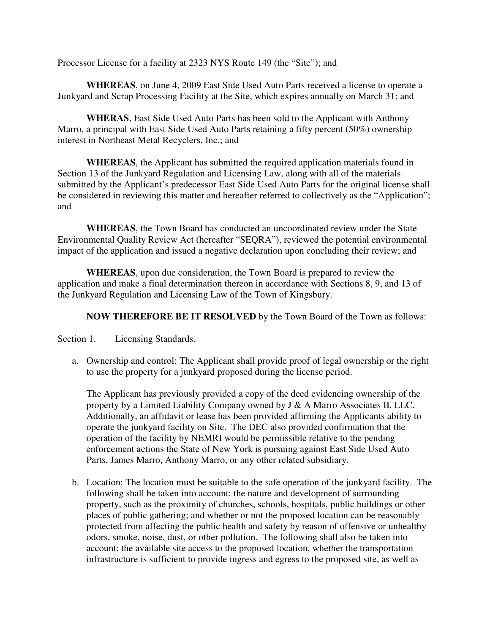Processor License for a facility at 2323 NYS Route 149 (the "Site"); and

 **WHEREAS**, on June 4, 2009 East Side Used Auto Parts received a license to operate a Junkyard and Scrap Processing Facility at the Site, which expires annually on March 31; and

**WHERAS**, East Side Used Auto Parts has been sold to the Applicant with Anthony Marro, a principal with East Side Used Auto Parts retaining a fifty percent (50%) ownership interest in Northeast Metal Recyclers, Inc.; and

**WHEREAS**, the Applicant has submitted the required application materials found in Section 13 of the Junkyard Regulation and Licensing Law, along with all of the materials submitted by the Applicant's predecessor East Side Used Auto Parts for the original license shall be considered in reviewing this matter and hereafter referred to collectively as the "Application"; and

 **WHEREAS**, the Town Board has conducted an uncoordinated review under the State Environmental Quality Review Act (hereafter "SEQRA"), reviewed the potential environmental impact of the application and issued a negative declaration upon concluding their review; and

 **WHEREAS**, upon due consideration, the Town Board is prepared to review the application and make a final determination thereon in accordance with Sections 8, 9, and 13 of the Junkyard Regulation and Licensing Law of the Town of Kingsbury.

 **NOW THEREFORE BE IT RESOLVED** by the Town Board of the Town as follows:

Section 1. Licensing Standards.

a. Ownership and control: The Applicant shall provide proof of legal ownership or the right to use the property for a junkyard proposed during the license period.

The Applicant has previously provided a copy of the deed evidencing ownership of the property by a Limited Liability Company owned by J & A Marro Associates II, LLC. Additionally, an affidavit or lease has been provided affirming the Applicants ability to operate the junkyard facility on Site. The DEC also provided confirmation that the operation of the facility by NEMRI would be permissible relative to the pending enforcement actions the State of New York is pursuing against East Side Used Auto Parts, James Marro, Anthony Marro, or any other related subsidiary.

b. Location: The location must be suitable to the safe operation of the junkyard facility. The following shall be taken into account: the nature and development of surrounding property, such as the proximity of churches, schools, hospitals, public buildings or other places of public gathering; and whether or not the proposed location can be reasonably protected from affecting the public health and safety by reason of offensive or unhealthy odors, smoke, noise, dust, or other pollution. The following shall also be taken into account: the available site access to the proposed location, whether the transportation infrastructure is sufficient to provide ingress and egress to the proposed site, as well as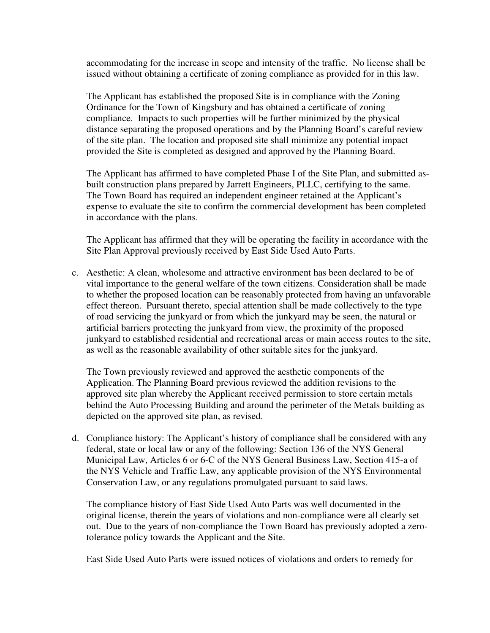accommodating for the increase in scope and intensity of the traffic. No license shall be issued without obtaining a certificate of zoning compliance as provided for in this law.

The Applicant has established the proposed Site is in compliance with the Zoning Ordinance for the Town of Kingsbury and has obtained a certificate of zoning compliance. Impacts to such properties will be further minimized by the physical distance separating the proposed operations and by the Planning Board's careful review of the site plan. The location and proposed site shall minimize any potential impact provided the Site is completed as designed and approved by the Planning Board.

The Applicant has affirmed to have completed Phase I of the Site Plan, and submitted asbuilt construction plans prepared by Jarrett Engineers, PLLC, certifying to the same. The Town Board has required an independent engineer retained at the Applicant's expense to evaluate the site to confirm the commercial development has been completed in accordance with the plans.

The Applicant has affirmed that they will be operating the facility in accordance with the Site Plan Approval previously received by East Side Used Auto Parts.

c. Aesthetic: A clean, wholesome and attractive environment has been declared to be of vital importance to the general welfare of the town citizens. Consideration shall be made to whether the proposed location can be reasonably protected from having an unfavorable effect thereon. Pursuant thereto, special attention shall be made collectively to the type of road servicing the junkyard or from which the junkyard may be seen, the natural or artificial barriers protecting the junkyard from view, the proximity of the proposed junkyard to established residential and recreational areas or main access routes to the site, as well as the reasonable availability of other suitable sites for the junkyard.

The Town previously reviewed and approved the aesthetic components of the Application. The Planning Board previous reviewed the addition revisions to the approved site plan whereby the Applicant received permission to store certain metals behind the Auto Processing Building and around the perimeter of the Metals building as depicted on the approved site plan, as revised.

d. Compliance history: The Applicant's history of compliance shall be considered with any federal, state or local law or any of the following: Section 136 of the NYS General Municipal Law, Articles 6 or 6-C of the NYS General Business Law, Section 415-a of the NYS Vehicle and Traffic Law, any applicable provision of the NYS Environmental Conservation Law, or any regulations promulgated pursuant to said laws.

The compliance history of East Side Used Auto Parts was well documented in the original license, therein the years of violations and non-compliance were all clearly set out. Due to the years of non-compliance the Town Board has previously adopted a zerotolerance policy towards the Applicant and the Site.

East Side Used Auto Parts were issued notices of violations and orders to remedy for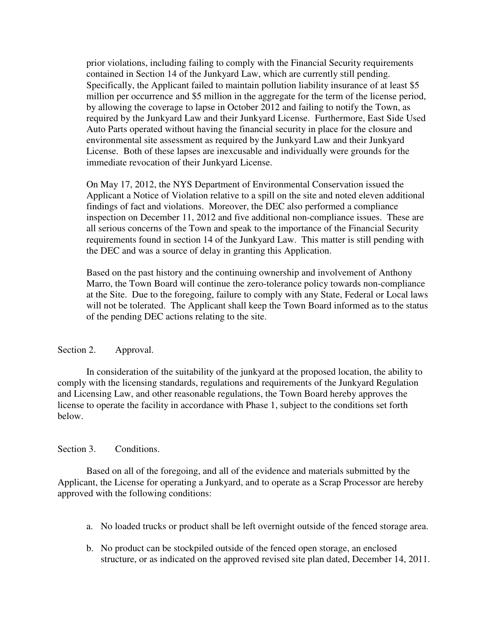prior violations, including failing to comply with the Financial Security requirements contained in Section 14 of the Junkyard Law, which are currently still pending. Specifically, the Applicant failed to maintain pollution liability insurance of at least \$5 million per occurrence and \$5 million in the aggregate for the term of the license period, by allowing the coverage to lapse in October 2012 and failing to notify the Town, as required by the Junkyard Law and their Junkyard License. Furthermore, East Side Used Auto Parts operated without having the financial security in place for the closure and environmental site assessment as required by the Junkyard Law and their Junkyard License. Both of these lapses are inexcusable and individually were grounds for the immediate revocation of their Junkyard License.

On May 17, 2012, the NYS Department of Environmental Conservation issued the Applicant a Notice of Violation relative to a spill on the site and noted eleven additional findings of fact and violations. Moreover, the DEC also performed a compliance inspection on December 11, 2012 and five additional non-compliance issues. These are all serious concerns of the Town and speak to the importance of the Financial Security requirements found in section 14 of the Junkyard Law. This matter is still pending with the DEC and was a source of delay in granting this Application.

Based on the past history and the continuing ownership and involvement of Anthony Marro, the Town Board will continue the zero-tolerance policy towards non-compliance at the Site. Due to the foregoing, failure to comply with any State, Federal or Local laws will not be tolerated. The Applicant shall keep the Town Board informed as to the status of the pending DEC actions relating to the site.

#### Section 2. Approval.

 In consideration of the suitability of the junkyard at the proposed location, the ability to comply with the licensing standards, regulations and requirements of the Junkyard Regulation and Licensing Law, and other reasonable regulations, the Town Board hereby approves the license to operate the facility in accordance with Phase 1, subject to the conditions set forth below.

#### Section 3. Conditions.

Based on all of the foregoing, and all of the evidence and materials submitted by the Applicant, the License for operating a Junkyard, and to operate as a Scrap Processor are hereby approved with the following conditions:

- a. No loaded trucks or product shall be left overnight outside of the fenced storage area.
- b. No product can be stockpiled outside of the fenced open storage, an enclosed structure, or as indicated on the approved revised site plan dated, December 14, 2011.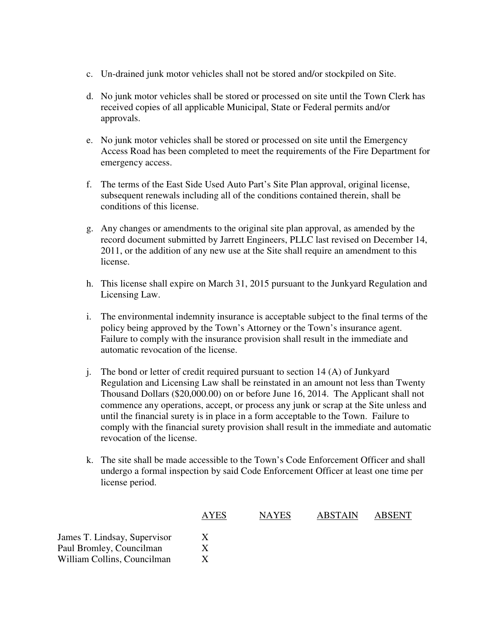- c. Un-drained junk motor vehicles shall not be stored and/or stockpiled on Site.
- d. No junk motor vehicles shall be stored or processed on site until the Town Clerk has received copies of all applicable Municipal, State or Federal permits and/or approvals.
- e. No junk motor vehicles shall be stored or processed on site until the Emergency Access Road has been completed to meet the requirements of the Fire Department for emergency access.
- f. The terms of the East Side Used Auto Part's Site Plan approval, original license, subsequent renewals including all of the conditions contained therein, shall be conditions of this license.
- g. Any changes or amendments to the original site plan approval, as amended by the record document submitted by Jarrett Engineers, PLLC last revised on December 14, 2011, or the addition of any new use at the Site shall require an amendment to this license.
- h. This license shall expire on March 31, 2015 pursuant to the Junkyard Regulation and Licensing Law.
- i. The environmental indemnity insurance is acceptable subject to the final terms of the policy being approved by the Town's Attorney or the Town's insurance agent. Failure to comply with the insurance provision shall result in the immediate and automatic revocation of the license.
- j. The bond or letter of credit required pursuant to section 14 (A) of Junkyard Regulation and Licensing Law shall be reinstated in an amount not less than Twenty Thousand Dollars (\$20,000.00) on or before June 16, 2014. The Applicant shall not commence any operations, accept, or process any junk or scrap at the Site unless and until the financial surety is in place in a form acceptable to the Town. Failure to comply with the financial surety provision shall result in the immediate and automatic revocation of the license.
- k. The site shall be made accessible to the Town's Code Enforcement Officer and shall undergo a formal inspection by said Code Enforcement Officer at least one time per license period.

| <b>AYES</b> | <b>NAYES</b> | <b>ABSTAIN</b> | <b>ABSENT</b> |
|-------------|--------------|----------------|---------------|
|             |              |                |               |
|             |              |                |               |
|             |              |                |               |
|             |              |                |               |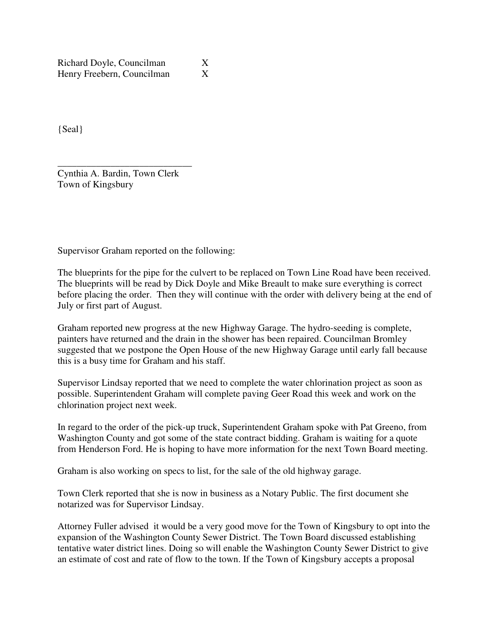Richard Doyle, Councilman X Henry Freebern, Councilman X

{Seal}

\_\_\_\_\_\_\_\_\_\_\_\_\_\_\_\_\_\_\_\_\_\_\_\_\_\_\_\_ Cynthia A. Bardin, Town Clerk Town of Kingsbury

Supervisor Graham reported on the following:

The blueprints for the pipe for the culvert to be replaced on Town Line Road have been received. The blueprints will be read by Dick Doyle and Mike Breault to make sure everything is correct before placing the order. Then they will continue with the order with delivery being at the end of July or first part of August.

Graham reported new progress at the new Highway Garage. The hydro-seeding is complete, painters have returned and the drain in the shower has been repaired. Councilman Bromley suggested that we postpone the Open House of the new Highway Garage until early fall because this is a busy time for Graham and his staff.

Supervisor Lindsay reported that we need to complete the water chlorination project as soon as possible. Superintendent Graham will complete paving Geer Road this week and work on the chlorination project next week.

In regard to the order of the pick-up truck, Superintendent Graham spoke with Pat Greeno, from Washington County and got some of the state contract bidding. Graham is waiting for a quote from Henderson Ford. He is hoping to have more information for the next Town Board meeting.

Graham is also working on specs to list, for the sale of the old highway garage.

Town Clerk reported that she is now in business as a Notary Public. The first document she notarized was for Supervisor Lindsay.

Attorney Fuller advised it would be a very good move for the Town of Kingsbury to opt into the expansion of the Washington County Sewer District. The Town Board discussed establishing tentative water district lines. Doing so will enable the Washington County Sewer District to give an estimate of cost and rate of flow to the town. If the Town of Kingsbury accepts a proposal